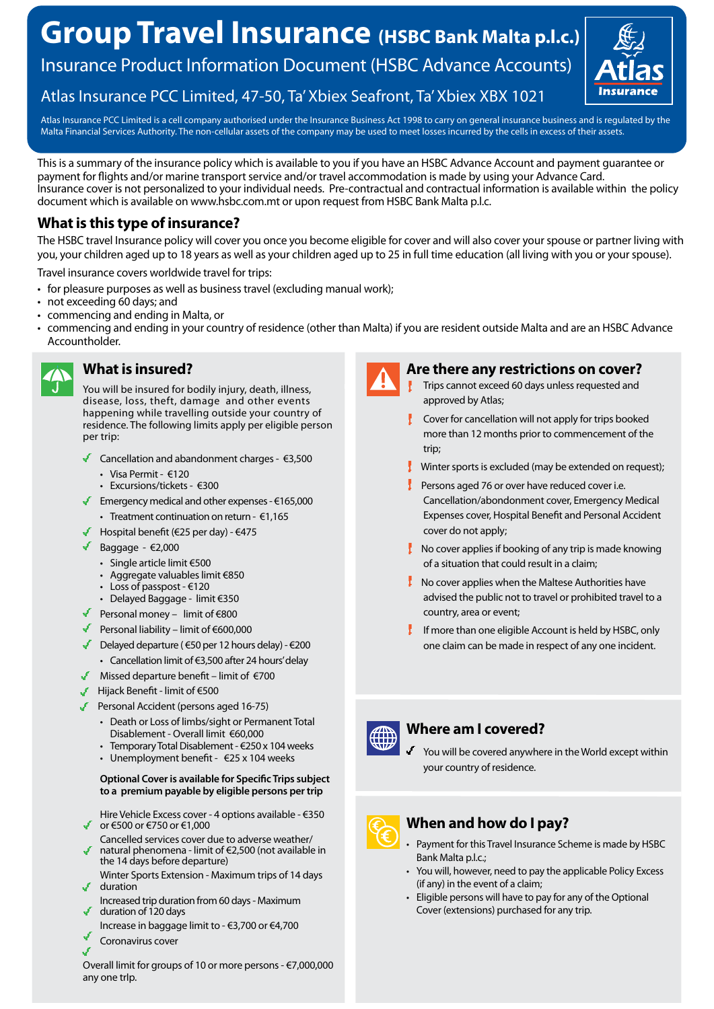# **Group Travel Insurance (HSBC Bank Malta p.l.c.)**

Insurance Product Information Document (HSBC Advance Accounts)



### Atlas Insurance PCC Limited, 47-50, Ta' Xbiex Seafront, Ta' Xbiex XBX 1021

Atlas Insurance PCC Limited is a cell company authorised under the Insurance Business Act 1998 to carry on general insurance business and is regulated by the Malta Financial Services Authority. The non-cellular assets of the company may be used to meet losses incurred by the cells in excess of their assets.

This is a summary of the insurance policy which is available to you if you have an HSBC Advance Account and payment guarantee or payment for flights and/or marine transport service and/or travel accommodation is made by using your Advance Card. Insurance cover is not personalized to your individual needs. Pre-contractual and contractual information is available within the policy document which is available on www.hsbc.com.mt or upon request from HSBC Bank Malta p.l.c.

### **What is this type of insurance?**

The HSBC travel Insurance policy will cover you once you become eligible for cover and will also cover your spouse or partner living with you, your children aged up to 18 years as well as your children aged up to 25 in full time education (all living with you or your spouse).

Travel insurance covers worldwide travel for trips:

- for pleasure purposes as well as business travel (excluding manual work);
- not exceeding 60 days; and
- commencing and ending in Malta, or
- commencing and ending in your country of residence (other than Malta) if you are resident outside Malta and are an HSBC Advance Accountholder.



### **What is insured?**

You will be insured for bodily injury, death, illness, disease, loss, theft, damage and other events happening while travelling outside your country of residence. The following limits apply per eligible person per trip:

- Cancellation and abandonment charges €3,500
	- Visa Permit €120
	- Excursions/tickets €300
- Emergency medical and other expenses  $€165,000$
- Treatment continuation on return €1,165
- Hospital benefit (€25 per day)  $€475$
- Baggage  $\epsilon$ 2,000
	- Single article limit €500
	- Aggregate valuables limit €850
	- Loss of passpost €120
	- Delayed Baggage limit €350
- Personal money limit of  $\epsilon$ 800
- Personal liability limit of €600,000
- Delayed departure ( $\epsilon$ 50 per 12 hours delay)  $\epsilon$ 200
	- Cancellation limit of €3,500 after 24 hours' delay
- Missed departure benefit limit of €700
- Hijack Benefit limit of €500
- Personal Accident (persons aged 16-75)
	- Death or Loss of limbs/sight or Permanent Total Disablement - Overall limit €60,000
	- Temporary Total Disablement €250 x 104 weeks
	- Unemployment benefit  $\epsilon$ 25 x 104 weeks

### **Optional Cover is available for Specific Trips subject to a premium payable by eligible persons per trip**

- Hire Vehicle Excess cover 4 options available €350 or €500 or €750 or €1,000
- Cancelled services cover due to adverse weather/ natural phenomena - limit of €2,500 (not available in
- the 14 days before departure) Winter Sports Extension - Maximum trips of 14 days duration
- Increased trip duration from 60 days Maximum duration of 120 days
- Increase in baggage limit to €3,700 or €4,700
- Coronavirus cover





### **Are there any restrictions on cover?**

- Trips cannot exceed 60 days unless requested and approved by Atlas;
- Cover for cancellation will not apply for trips booked more than 12 months prior to commencement of the trip;
- **Winter sports is excluded (may be extended on request);**
- $\frac{1}{2}$  Persons aged 76 or over have reduced cover i.e. Cancellation/abondonment cover, Emergency Medical Expenses cover, Hospital Benefit and Personal Accident cover do not apply;
- $\mathbf I$  No cover applies if booking of any trip is made knowing of a situation that could result in a claim;
- $\mathbf{I}$  No cover applies when the Maltese Authorities have advised the public not to travel or prohibited travel to a country, area or event;
- If more than one eligible Account is held by HSBC, only one claim can be made in respect of any one incident.



### **Where am I covered?**

You will be covered anywhere in the World except within your country of residence.

## **When and how do I pay?**

- Payment for this Travel Insurance Scheme is made by HSBC Bank Malta p.l.c.;
- You will, however, need to pay the applicable Policy Excess (if any) in the event of a claim;
- Eligible persons will have to pay for any of the Optional Cover (extensions) purchased for any trip.